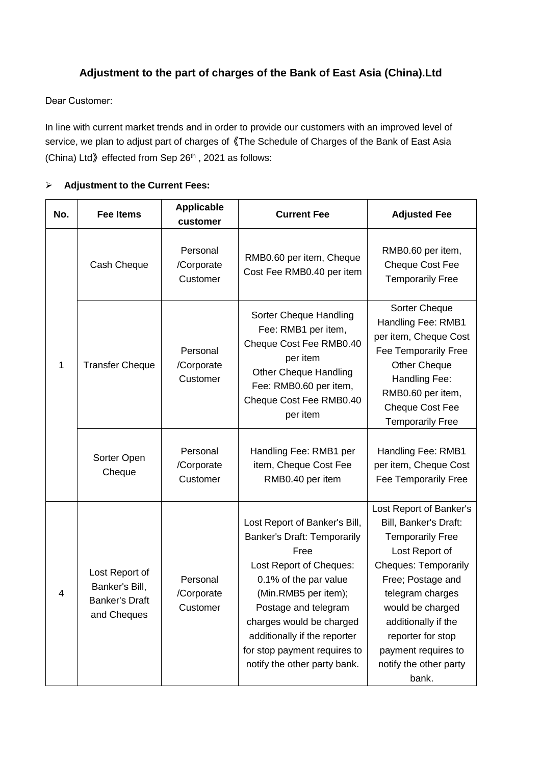## **Adjustment to the part of charges of the Bank of East Asia (China).Ltd**

Dear Customer:

In line with current market trends and in order to provide our customers with an improved level of service, we plan to adjust part of charges of《The Schedule of Charges of the Bank of East Asia (China) Ltd $\Diamond$  effected from Sep 26<sup>th</sup>, 2021 as follows:

| No. | Fee Items                                                                | <b>Applicable</b><br>customer      | <b>Current Fee</b>                                                                                                                                                                                                                                                                                          | <b>Adjusted Fee</b>                                                                                                                                                                                                                                                                             |
|-----|--------------------------------------------------------------------------|------------------------------------|-------------------------------------------------------------------------------------------------------------------------------------------------------------------------------------------------------------------------------------------------------------------------------------------------------------|-------------------------------------------------------------------------------------------------------------------------------------------------------------------------------------------------------------------------------------------------------------------------------------------------|
| 1   | Cash Cheque                                                              | Personal<br>/Corporate<br>Customer | RMB0.60 per item, Cheque<br>Cost Fee RMB0.40 per item                                                                                                                                                                                                                                                       | RMB0.60 per item,<br><b>Cheque Cost Fee</b><br><b>Temporarily Free</b>                                                                                                                                                                                                                          |
|     | <b>Transfer Cheque</b>                                                   | Personal<br>/Corporate<br>Customer | Sorter Cheque Handling<br>Fee: RMB1 per item,<br>Cheque Cost Fee RMB0.40<br>per item<br><b>Other Cheque Handling</b><br>Fee: RMB0.60 per item,<br>Cheque Cost Fee RMB0.40<br>per item                                                                                                                       | Sorter Cheque<br>Handling Fee: RMB1<br>per item, Cheque Cost<br>Fee Temporarily Free<br><b>Other Cheque</b><br>Handling Fee:<br>RMB0.60 per item,<br><b>Cheque Cost Fee</b><br><b>Temporarily Free</b>                                                                                          |
|     | Sorter Open<br>Cheque                                                    | Personal<br>/Corporate<br>Customer | Handling Fee: RMB1 per<br>item, Cheque Cost Fee<br>RMB0.40 per item                                                                                                                                                                                                                                         | Handling Fee: RMB1<br>per item, Cheque Cost<br>Fee Temporarily Free                                                                                                                                                                                                                             |
| 4   | Lost Report of<br>Banker's Bill,<br><b>Banker's Draft</b><br>and Cheques | Personal<br>/Corporate<br>Customer | Lost Report of Banker's Bill,<br><b>Banker's Draft: Temporarily</b><br>Free<br>Lost Report of Cheques:<br>0.1% of the par value<br>(Min.RMB5 per item);<br>Postage and telegram<br>charges would be charged<br>additionally if the reporter<br>for stop payment requires to<br>notify the other party bank. | Lost Report of Banker's<br>Bill, Banker's Draft:<br><b>Temporarily Free</b><br>Lost Report of<br><b>Cheques: Temporarily</b><br>Free; Postage and<br>telegram charges<br>would be charged<br>additionally if the<br>reporter for stop<br>payment requires to<br>notify the other party<br>bank. |

## **Adjustment to the Current Fees:**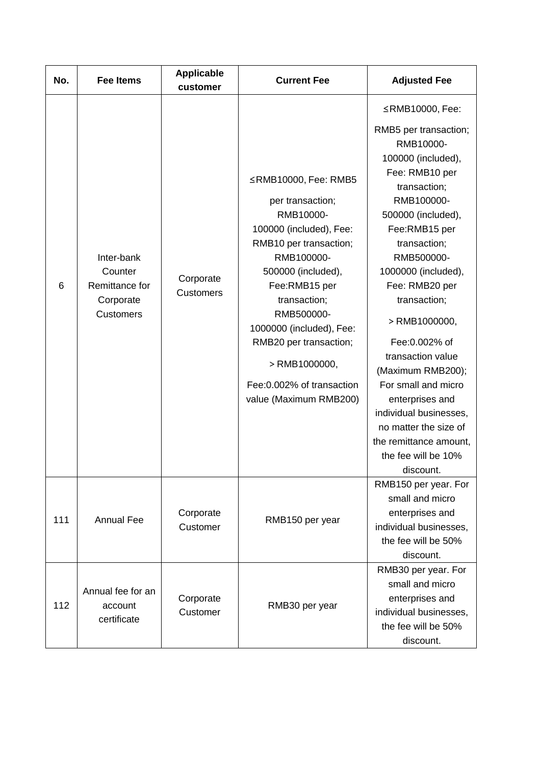| No. | <b>Fee Items</b>                                                         | <b>Applicable</b><br>customer | <b>Current Fee</b>                                                                                                                                                                                                                                                                                                             | <b>Adjusted Fee</b>                                                                                                                                                                                                                                                                                                                                                                                                                                                                               |
|-----|--------------------------------------------------------------------------|-------------------------------|--------------------------------------------------------------------------------------------------------------------------------------------------------------------------------------------------------------------------------------------------------------------------------------------------------------------------------|---------------------------------------------------------------------------------------------------------------------------------------------------------------------------------------------------------------------------------------------------------------------------------------------------------------------------------------------------------------------------------------------------------------------------------------------------------------------------------------------------|
| 6   | Inter-bank<br>Counter<br>Remittance for<br>Corporate<br><b>Customers</b> | Corporate<br><b>Customers</b> | ≤RMB10000, Fee: RMB5<br>per transaction;<br>RMB10000-<br>100000 (included), Fee:<br>RMB10 per transaction;<br>RMB100000-<br>500000 (included),<br>Fee:RMB15 per<br>transaction;<br>RMB500000-<br>1000000 (included), Fee:<br>RMB20 per transaction;<br>$>$ RMB1000000,<br>Fee: 0.002% of transaction<br>value (Maximum RMB200) | ≤RMB10000, Fee:<br>RMB5 per transaction;<br>RMB10000-<br>100000 (included),<br>Fee: RMB10 per<br>transaction;<br>RMB100000-<br>500000 (included),<br>Fee:RMB15 per<br>transaction;<br>RMB500000-<br>1000000 (included),<br>Fee: RMB20 per<br>transaction;<br>> RMB1000000,<br>Fee: 0.002% of<br>transaction value<br>(Maximum RMB200);<br>For small and micro<br>enterprises and<br>individual businesses,<br>no matter the size of<br>the remittance amount,<br>the fee will be 10%<br>discount. |
| 111 | <b>Annual Fee</b>                                                        | Corporate<br>Customer         | RMB150 per year                                                                                                                                                                                                                                                                                                                | RMB150 per year. For<br>small and micro<br>enterprises and<br>individual businesses,<br>the fee will be 50%<br>discount.                                                                                                                                                                                                                                                                                                                                                                          |
| 112 | Annual fee for an<br>account<br>certificate                              | Corporate<br>Customer         | RMB30 per year                                                                                                                                                                                                                                                                                                                 | RMB30 per year. For<br>small and micro<br>enterprises and<br>individual businesses,<br>the fee will be 50%<br>discount.                                                                                                                                                                                                                                                                                                                                                                           |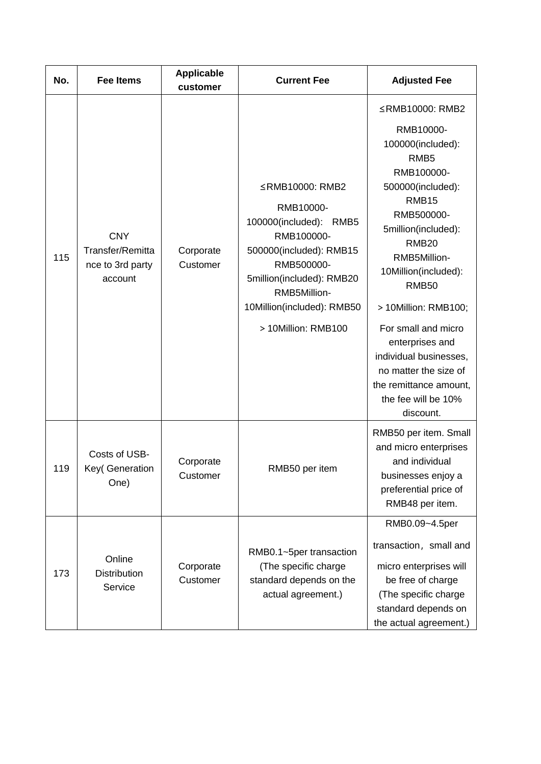| No. | <b>Fee Items</b>                                              | <b>Applicable</b><br>customer | <b>Current Fee</b>                                                                                                                                                                                                 | <b>Adjusted Fee</b>                                                                                                                                                                                                                                                                                                                                                                                                           |
|-----|---------------------------------------------------------------|-------------------------------|--------------------------------------------------------------------------------------------------------------------------------------------------------------------------------------------------------------------|-------------------------------------------------------------------------------------------------------------------------------------------------------------------------------------------------------------------------------------------------------------------------------------------------------------------------------------------------------------------------------------------------------------------------------|
| 115 | <b>CNY</b><br>Transfer/Remitta<br>nce to 3rd party<br>account | Corporate<br>Customer         | ≤RMB10000: RMB2<br>RMB10000-<br>100000(included):<br>RMB5<br>RMB100000-<br>500000(included): RMB15<br>RMB500000-<br>5million(included): RMB20<br>RMB5Million-<br>10Million(included): RMB50<br>> 10Million: RMB100 | ≤RMB10000: RMB2<br>RMB10000-<br>100000(included):<br>RMB <sub>5</sub><br>RMB100000-<br>500000(included):<br>RMB <sub>15</sub><br>RMB500000-<br>5million(included):<br><b>RMB20</b><br>RMB5Million-<br>10Million(included):<br><b>RMB50</b><br>> 10Million: RMB100;<br>For small and micro<br>enterprises and<br>individual businesses,<br>no matter the size of<br>the remittance amount,<br>the fee will be 10%<br>discount. |
| 119 | Costs of USB-<br>Key(Generation<br>One)                       | Corporate<br>Customer         | RMB50 per item                                                                                                                                                                                                     | RMB50 per item. Small<br>and micro enterprises<br>and individual<br>businesses enjoy a<br>preferential price of<br>RMB48 per item.                                                                                                                                                                                                                                                                                            |
| 173 | Online<br><b>Distribution</b><br>Service                      | Corporate<br>Customer         | RMB0.1~5per transaction<br>(The specific charge<br>standard depends on the<br>actual agreement.)                                                                                                                   | RMB0.09~4.5per<br>transaction, small and<br>micro enterprises will<br>be free of charge<br>(The specific charge<br>standard depends on<br>the actual agreement.)                                                                                                                                                                                                                                                              |